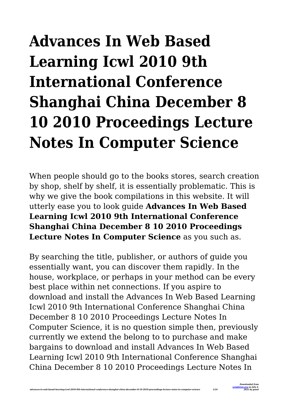# **Advances In Web Based Learning Icwl 2010 9th International Conference Shanghai China December 8 10 2010 Proceedings Lecture Notes In Computer Science**

When people should go to the books stores, search creation by shop, shelf by shelf, it is essentially problematic. This is why we give the book compilations in this website. It will utterly ease you to look guide **Advances In Web Based Learning Icwl 2010 9th International Conference Shanghai China December 8 10 2010 Proceedings Lecture Notes In Computer Science** as you such as.

By searching the title, publisher, or authors of guide you essentially want, you can discover them rapidly. In the house, workplace, or perhaps in your method can be every best place within net connections. If you aspire to download and install the Advances In Web Based Learning Icwl 2010 9th International Conference Shanghai China December 8 10 2010 Proceedings Lecture Notes In Computer Science, it is no question simple then, previously currently we extend the belong to to purchase and make bargains to download and install Advances In Web Based Learning Icwl 2010 9th International Conference Shanghai China December 8 10 2010 Proceedings Lecture Notes In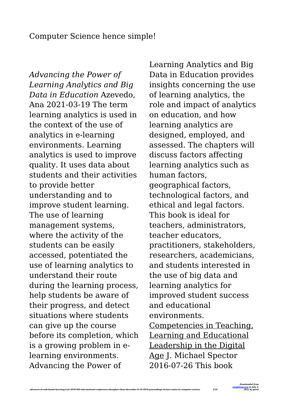## Computer Science hence simple!

*Advancing the Power of Learning Analytics and Big Data in Education* Azevedo, Ana 2021-03-19 The term learning analytics is used in the context of the use of analytics in e-learning environments. Learning analytics is used to improve quality. It uses data about students and their activities to provide better understanding and to improve student learning. The use of learning management systems, where the activity of the students can be easily accessed, potentiated the use of learning analytics to understand their route during the learning process, help students be aware of their progress, and detect situations where students can give up the course before its completion, which is a growing problem in elearning environments. Advancing the Power of

Learning Analytics and Big Data in Education provides insights concerning the use of learning analytics, the role and impact of analytics on education, and how learning analytics are designed, employed, and assessed. The chapters will discuss factors affecting learning analytics such as human factors, geographical factors, technological factors, and ethical and legal factors. This book is ideal for teachers, administrators, teacher educators, practitioners, stakeholders, researchers, academicians, and students interested in the use of big data and learning analytics for improved student success and educational environments. Competencies in Teaching, Learning and Educational Leadership in the Digital Age J. Michael Spector 2016-07-26 This book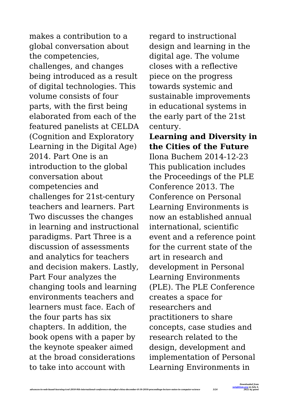makes a contribution to a global conversation about the competencies, challenges, and changes being introduced as a result of digital technologies. This volume consists of four parts, with the first being elaborated from each of the featured panelists at CELDA (Cognition and Exploratory Learning in the Digital Age) 2014. Part One is an introduction to the global conversation about competencies and challenges for 21st-century teachers and learners. Part Two discusses the changes in learning and instructional paradigms. Part Three is a discussion of assessments and analytics for teachers and decision makers. Lastly, Part Four analyzes the changing tools and learning environments teachers and learners must face. Each of the four parts has six chapters. In addition, the book opens with a paper by the keynote speaker aimed at the broad considerations to take into account with

regard to instructional design and learning in the digital age. The volume closes with a reflective piece on the progress towards systemic and sustainable improvements in educational systems in the early part of the 21st century.

## **Learning and Diversity in the Cities of the Future** Ilona Buchem 2014-12-23 This publication includes the Proceedings of the PLE Conference 2013. The Conference on Personal Learning Environments is now an established annual international, scientific event and a reference point for the current state of the art in research and development in Personal Learning Environments (PLE). The PLE Conference creates a space for researchers and practitioners to share concepts, case studies and research related to the design, development and implementation of Personal Learning Environments in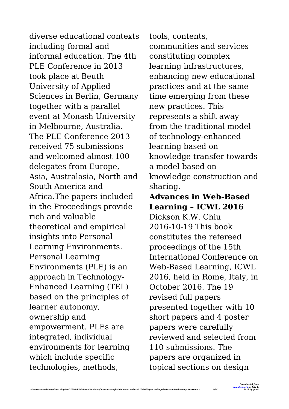diverse educational contexts including formal and informal education. The 4th PLE Conference in 2013 took place at Beuth University of Applied Sciences in Berlin, Germany together with a parallel event at Monash University in Melbourne, Australia. The PLE Conference 2013 received 75 submissions and welcomed almost 100 delegates from Europe, Asia, Australasia, North and South America and Africa.The papers included in the Proceedings provide rich and valuable theoretical and empirical insights into Personal Learning Environments. Personal Learning Environments (PLE) is an approach in Technology-Enhanced Learning (TEL) based on the principles of learner autonomy, ownership and empowerment. PLEs are integrated, individual environments for learning which include specific technologies, methods,

tools, contents, communities and services constituting complex learning infrastructures, enhancing new educational practices and at the same time emerging from these new practices. This represents a shift away from the traditional model of technology-enhanced learning based on knowledge transfer towards a model based on knowledge construction and sharing.

# **Advances in Web-Based Learning – ICWL 2016**

Dickson K.W. Chiu 2016-10-19 This book constitutes the refereed proceedings of the 15th International Conference on Web-Based Learning, ICWL 2016, held in Rome, Italy, in October 2016. The 19 revised full papers presented together with 10 short papers and 4 poster papers were carefully reviewed and selected from 110 submissions. The papers are organized in topical sections on design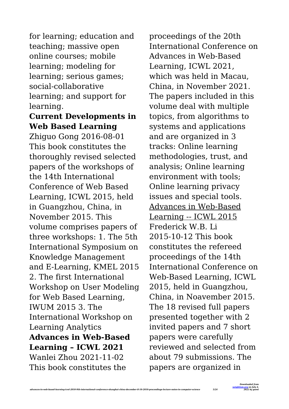for learning; education and teaching; massive open online courses; mobile learning; modeling for learning; serious games; social-collaborative learning; and support for learning.

#### **Current Developments in Web Based Learning**

Zhiguo Gong 2016-08-01 This book constitutes the thoroughly revised selected papers of the workshops of the 14th International Conference of Web Based Learning, ICWL 2015, held in Guangzhou, China, in November 2015. This volume comprises papers of three workshops: 1. The 5th International Symposium on Knowledge Management and E-Learning, KMEL 2015 2. The first International Workshop on User Modeling for Web Based Learning, IWUM 2015 3. The International Workshop on Learning Analytics **Advances in Web-Based Learning – ICWL 2021** Wanlei Zhou 2021-11-02 This book constitutes the

proceedings of the 20th International Conference on Advances in Web-Based Learning, ICWL 2021, which was held in Macau, China, in November 2021. The papers included in this volume deal with multiple topics, from algorithms to systems and applications and are organized in 3 tracks: Online learning methodologies, trust, and analysis; Online learning environment with tools; Online learning privacy issues and special tools. Advances in Web-Based Learning -- ICWL 2015 Frederick W.B. Li 2015-10-12 This book constitutes the refereed proceedings of the 14th International Conference on Web-Based Learning, ICWL 2015, held in Guangzhou, China, in Noavember 2015. The 18 revised full papers presented together with 2 invited papers and 7 short papers were carefully reviewed and selected from about 79 submissions. The papers are organized in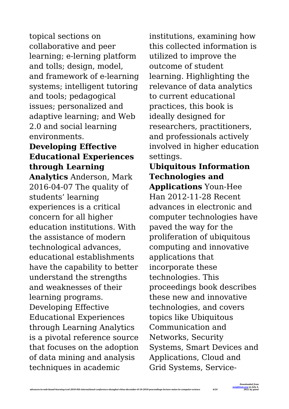topical sections on collaborative and peer learning; e-lerning platform and tolls; design, model, and framework of e-learning systems; intelligent tutoring and tools; pedagogical issues; personalized and adaptive learning; and Web 2.0 and social learning environments.

# **Developing Effective Educational Experiences through Learning**

**Analytics** Anderson, Mark 2016-04-07 The quality of students' learning experiences is a critical concern for all higher education institutions. With the assistance of modern technological advances, educational establishments have the capability to better understand the strengths and weaknesses of their learning programs. Developing Effective Educational Experiences through Learning Analytics is a pivotal reference source that focuses on the adoption of data mining and analysis techniques in academic

institutions, examining how this collected information is utilized to improve the outcome of student learning. Highlighting the relevance of data analytics to current educational practices, this book is ideally designed for researchers, practitioners, and professionals actively involved in higher education settings.

**Ubiquitous Information Technologies and Applications** Youn-Hee Han 2012-11-28 Recent advances in electronic and computer technologies have paved the way for the proliferation of ubiquitous computing and innovative applications that incorporate these technologies. This proceedings book describes these new and innovative technologies, and covers topics like Ubiquitous Communication and Networks, Security Systems, Smart Devices and Applications, Cloud and Grid Systems, Service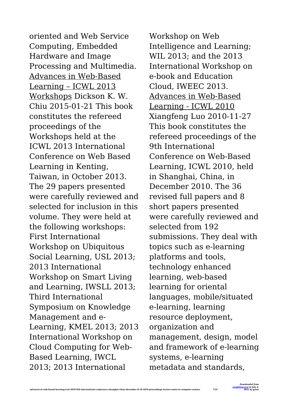oriented and Web Service Computing, Embedded Hardware and Image Processing and Multimedia. Advances in Web-Based Learning – ICWL 2013 Workshops Dickson K. W. Chiu 2015-01-21 This book constitutes the refereed proceedings of the Workshops held at the ICWL 2013 International Conference on Web Based Learning in Kenting, Taiwan, in October 2013. The 29 papers presented were carefully reviewed and selected for inclusion in this volume. They were held at the following workshops: First International Workshop on Ubiquitous Social Learning, USL 2013; 2013 International Workshop on Smart Living and Learning, IWSLL 2013; Third International Symposium on Knowledge Management and e-Learning, KMEL 2013; 2013 International Workshop on Cloud Computing for Web-Based Learning, IWCL 2013; 2013 International

Workshop on Web Intelligence and Learning; WIL 2013; and the 2013 International Workshop on e-book and Education Cloud, IWEEC 2013. Advances in Web-Based Learning - ICWL 2010 Xiangfeng Luo 2010-11-27 This book constitutes the refereed proceedings of the 9th International Conference on Web-Based Learning, ICWL 2010, held in Shanghai, China, in December 2010. The 36 revised full papers and 8 short papers presented were carefully reviewed and selected from 192 submissions. They deal with topics such as e-learning platforms and tools, technology enhanced learning, web-based learning for oriental languages, mobile/situated e-learning, learning resource deployment, organization and management, design, model and framework of e-learning systems, e-learning metadata and standards,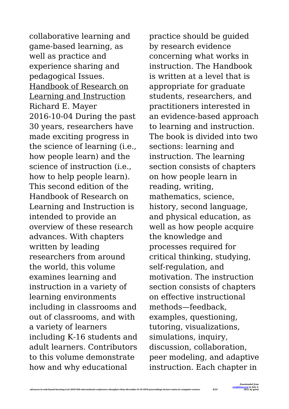collaborative learning and game-based learning, as well as practice and experience sharing and pedagogical Issues. Handbook of Research on Learning and Instruction Richard E. Mayer 2016-10-04 During the past 30 years, researchers have made exciting progress in the science of learning (i.e., how people learn) and the science of instruction (i.e., how to help people learn). This second edition of the Handbook of Research on Learning and Instruction is intended to provide an overview of these research advances. With chapters written by leading researchers from around the world, this volume examines learning and instruction in a variety of learning environments including in classrooms and out of classrooms, and with a variety of learners including K-16 students and adult learners. Contributors to this volume demonstrate how and why educational

practice should be guided by research evidence concerning what works in instruction. The Handbook is written at a level that is appropriate for graduate students, researchers, and practitioners interested in an evidence-based approach to learning and instruction. The book is divided into two sections: learning and instruction. The learning section consists of chapters on how people learn in reading, writing, mathematics, science, history, second language, and physical education, as well as how people acquire the knowledge and processes required for critical thinking, studying, self-regulation, and motivation. The instruction section consists of chapters on effective instructional methods—feedback, examples, questioning, tutoring, visualizations, simulations, inquiry, discussion, collaboration, peer modeling, and adaptive instruction. Each chapter in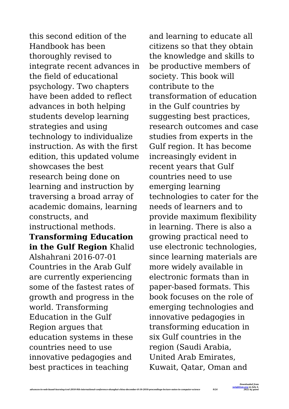this second edition of the Handbook has been thoroughly revised to integrate recent advances in the field of educational psychology. Two chapters have been added to reflect advances in both helping students develop learning strategies and using technology to individualize instruction. As with the first edition, this updated volume showcases the best research being done on learning and instruction by traversing a broad array of academic domains, learning constructs, and instructional methods.

**Transforming Education in the Gulf Region** Khalid Alshahrani 2016-07-01 Countries in the Arab Gulf are currently experiencing some of the fastest rates of growth and progress in the world. Transforming Education in the Gulf Region argues that education systems in these countries need to use innovative pedagogies and best practices in teaching

and learning to educate all citizens so that they obtain the knowledge and skills to be productive members of society. This book will contribute to the transformation of education in the Gulf countries by suggesting best practices, research outcomes and case studies from experts in the Gulf region. It has become increasingly evident in recent years that Gulf countries need to use emerging learning technologies to cater for the needs of learners and to provide maximum flexibility in learning. There is also a growing practical need to use electronic technologies, since learning materials are more widely available in electronic formats than in paper-based formats. This book focuses on the role of emerging technologies and innovative pedagogies in transforming education in six Gulf countries in the region (Saudi Arabia, United Arab Emirates, Kuwait, Qatar, Oman and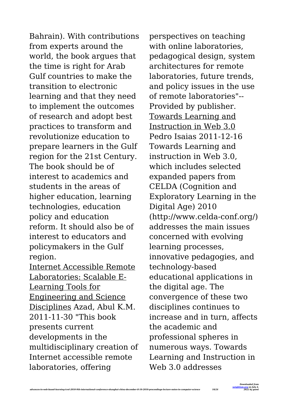Bahrain). With contributions from experts around the world, the book argues that the time is right for Arab Gulf countries to make the transition to electronic learning and that they need to implement the outcomes of research and adopt best practices to transform and revolutionize education to prepare learners in the Gulf region for the 21st Century. The book should be of interest to academics and students in the areas of higher education, learning technologies, education policy and education reform. It should also be of interest to educators and policymakers in the Gulf region.

Internet Accessible Remote Laboratories: Scalable E-Learning Tools for Engineering and Science Disciplines Azad, Abul K.M. 2011-11-30 "This book presents current developments in the multidisciplinary creation of Internet accessible remote laboratories, offering

perspectives on teaching with online laboratories. pedagogical design, system architectures for remote laboratories, future trends, and policy issues in the use of remote laboratories"-- Provided by publisher. Towards Learning and Instruction in Web 3.0 Pedro Isaias 2011-12-16 Towards Learning and instruction in Web 3.0, which includes selected expanded papers from CELDA (Cognition and Exploratory Learning in the Digital Age) 2010 (http://www.celda-conf.org/) addresses the main issues concerned with evolving learning processes, innovative pedagogies, and technology-based educational applications in the digital age. The convergence of these two disciplines continues to increase and in turn, affects the academic and professional spheres in numerous ways. Towards Learning and Instruction in Web 3.0 addresses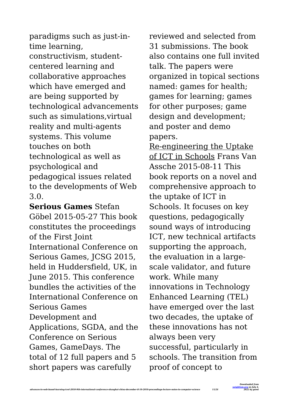paradigms such as just-intime learning, constructivism, studentcentered learning and collaborative approaches which have emerged and are being supported by technological advancements such as simulations,virtual reality and multi-agents systems. This volume touches on both technological as well as psychological and pedagogical issues related to the developments of Web 3.0.

**Serious Games** Stefan Göbel 2015-05-27 This book constitutes the proceedings of the First Joint International Conference on Serious Games, JCSG 2015, held in Huddersfield, UK, in June 2015. This conference bundles the activities of the International Conference on Serious Games Development and Applications, SGDA, and the Conference on Serious Games, GameDays. The total of 12 full papers and 5 short papers was carefully

reviewed and selected from 31 submissions. The book also contains one full invited talk. The papers were organized in topical sections named: games for health; games for learning; games for other purposes; game design and development; and poster and demo papers.

Re-engineering the Uptake of ICT in Schools Frans Van Assche 2015-08-11 This book reports on a novel and comprehensive approach to the uptake of ICT in Schools. It focuses on key questions, pedagogically sound ways of introducing ICT, new technical artifacts supporting the approach, the evaluation in a largescale validator, and future work. While many innovations in Technology Enhanced Learning (TEL) have emerged over the last two decades, the uptake of these innovations has not always been very successful, particularly in schools. The transition from proof of concept to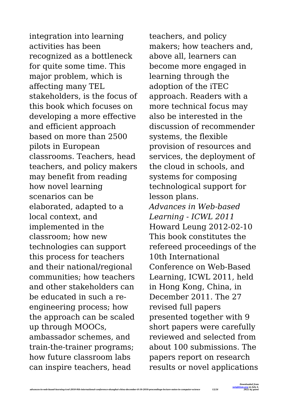integration into learning activities has been recognized as a bottleneck for quite some time. This major problem, which is affecting many TEL stakeholders, is the focus of this book which focuses on developing a more effective and efficient approach based on more than 2500 pilots in European classrooms. Teachers, head teachers, and policy makers may benefit from reading how novel learning scenarios can be elaborated, adapted to a local context, and implemented in the classroom; how new technologies can support this process for teachers and their national/regional communities; how teachers and other stakeholders can be educated in such a reengineering process; how the approach can be scaled up through MOOCs, ambassador schemes, and train-the-trainer programs; how future classroom labs can inspire teachers, head

teachers, and policy makers; how teachers and, above all, learners can become more engaged in learning through the adoption of the iTEC approach. Readers with a more technical focus may also be interested in the discussion of recommender systems, the flexible provision of resources and services, the deployment of the cloud in schools, and systems for composing technological support for lesson plans. *Advances in Web-based Learning - ICWL 2011* Howard Leung 2012-02-10 This book constitutes the refereed proceedings of the 10th International Conference on Web-Based Learning, ICWL 2011, held in Hong Kong, China, in December 2011. The 27 revised full papers presented together with 9 short papers were carefully reviewed and selected from about 100 submissions. The papers report on research results or novel applications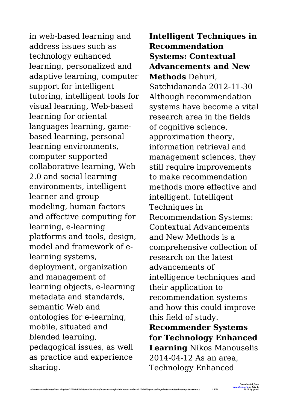in web-based learning and address issues such as technology enhanced learning, personalized and adaptive learning, computer support for intelligent tutoring, intelligent tools for visual learning, Web-based learning for oriental languages learning, gamebased learning, personal learning environments, computer supported collaborative learning, Web 2.0 and social learning environments, intelligent learner and group modeling, human factors and affective computing for learning, e-learning platforms and tools, design, model and framework of elearning systems, deployment, organization and management of learning objects, e-learning metadata and standards, semantic Web and ontologies for e-learning, mobile, situated and blended learning, pedagogical issues, as well as practice and experience sharing.

**Intelligent Techniques in Recommendation Systems: Contextual Advancements and New Methods** Dehuri, Satchidananda 2012-11-30 Although recommendation systems have become a vital research area in the fields of cognitive science, approximation theory, information retrieval and management sciences, they still require improvements to make recommendation methods more effective and intelligent. Intelligent Techniques in Recommendation Systems: Contextual Advancements and New Methods is a comprehensive collection of research on the latest advancements of intelligence techniques and their application to recommendation systems and how this could improve this field of study. **Recommender Systems for Technology Enhanced Learning** Nikos Manouselis 2014-04-12 As an area, Technology Enhanced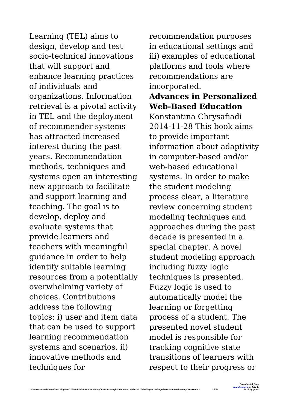Learning (TEL) aims to design, develop and test socio-technical innovations that will support and enhance learning practices of individuals and organizations. Information retrieval is a pivotal activity in TEL and the deployment of recommender systems has attracted increased interest during the past years. Recommendation methods, techniques and systems open an interesting new approach to facilitate and support learning and teaching. The goal is to develop, deploy and evaluate systems that provide learners and teachers with meaningful guidance in order to help identify suitable learning resources from a potentially overwhelming variety of choices. Contributions address the following topics: i) user and item data that can be used to support learning recommendation systems and scenarios, ii) innovative methods and techniques for

recommendation purposes in educational settings and iii) examples of educational platforms and tools where recommendations are incorporated.

**Advances in Personalized Web-Based Education** Konstantina Chrysafiadi 2014-11-28 This book aims to provide important information about adaptivity in computer-based and/or web-based educational systems. In order to make the student modeling process clear, a literature review concerning student modeling techniques and approaches during the past decade is presented in a special chapter. A novel student modeling approach including fuzzy logic techniques is presented. Fuzzy logic is used to automatically model the learning or forgetting process of a student. The presented novel student model is responsible for tracking cognitive state transitions of learners with respect to their progress or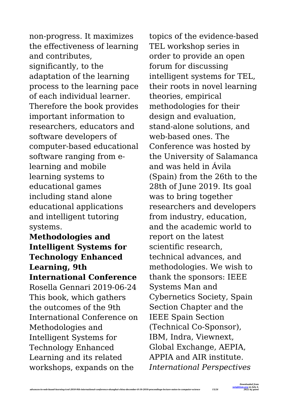non-progress. It maximizes the effectiveness of learning and contributes, significantly, to the adaptation of the learning process to the learning pace of each individual learner. Therefore the book provides important information to researchers, educators and software developers of computer-based educational software ranging from elearning and mobile learning systems to educational games including stand alone educational applications and intelligent tutoring systems.

**Methodologies and Intelligent Systems for Technology Enhanced Learning, 9th International Conference** Rosella Gennari 2019-06-24 This book, which gathers the outcomes of the 9th International Conference on Methodologies and Intelligent Systems for Technology Enhanced Learning and its related workshops, expands on the

topics of the evidence-based TEL workshop series in order to provide an open forum for discussing intelligent systems for TEL, their roots in novel learning theories, empirical methodologies for their design and evaluation, stand-alone solutions, and web-based ones. The Conference was hosted by the University of Salamanca and was held in Ávila (Spain) from the 26th to the 28th of June 2019. Its goal was to bring together researchers and developers from industry, education, and the academic world to report on the latest scientific research, technical advances, and methodologies. We wish to thank the sponsors: IEEE Systems Man and Cybernetics Society, Spain Section Chapter and the IEEE Spain Section (Technical Co-Sponsor), IBM, Indra, Viewnext, Global Exchange, AEPIA, APPIA and AIR institute. *International Perspectives*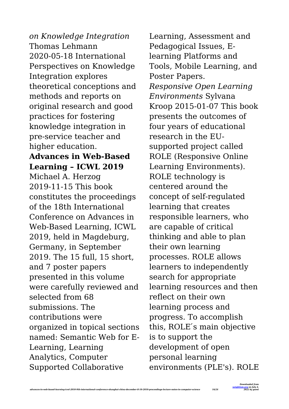*on Knowledge Integration* Thomas Lehmann 2020-05-18 International Perspectives on Knowledge Integration explores theoretical conceptions and methods and reports on original research and good practices for fostering knowledge integration in pre-service teacher and higher education.

#### **Advances in Web-Based Learning – ICWL 2019**

Michael A. Herzog 2019-11-15 This book constitutes the proceedings of the 18th International Conference on Advances in Web-Based Learning, ICWL 2019, held in Magdeburg, Germany, in September 2019. The 15 full, 15 short, and 7 poster papers presented in this volume were carefully reviewed and selected from 68 submissions. The contributions were organized in topical sections named: Semantic Web for E-Learning, Learning Analytics, Computer Supported Collaborative

Learning, Assessment and Pedagogical Issues, Elearning Platforms and Tools, Mobile Learning, and Poster Papers. *Responsive Open Learning Environments* Sylvana Kroop 2015-01-07 This book presents the outcomes of four years of educational research in the EUsupported project called ROLE (Responsive Online Learning Environments). ROLE technology is centered around the concept of self-regulated learning that creates responsible learners, who are capable of critical thinking and able to plan their own learning processes. ROLE allows learners to independently search for appropriate learning resources and then reflect on their own learning process and progress. To accomplish this, ROLE's main objective is to support the development of open personal learning environments (PLE's). ROLE

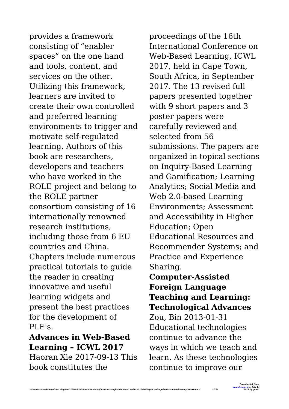provides a framework consisting of "enabler spaces" on the one hand and tools, content, and services on the other. Utilizing this framework, learners are invited to create their own controlled and preferred learning environments to trigger and motivate self-regulated learning. Authors of this book are researchers, developers and teachers who have worked in the ROLE project and belong to the ROLE partner consortium consisting of 16 internationally renowned research institutions, including those from 6 EU countries and China. Chapters include numerous practical tutorials to guide the reader in creating innovative and useful learning widgets and present the best practices for the development of PLE's.

## **Advances in Web-Based Learning – ICWL 2017**

Haoran Xie 2017-09-13 This book constitutes the

proceedings of the 16th International Conference on Web-Based Learning, ICWL 2017, held in Cape Town, South Africa, in September 2017. The 13 revised full papers presented together with 9 short papers and 3 poster papers were carefully reviewed and selected from 56 submissions. The papers are organized in topical sections on Inquiry-Based Learning and Gamification; Learning Analytics; Social Media and Web 2.0-based Learning Environments; Assessment and Accessibility in Higher Education; Open Educational Resources and Recommender Systems; and Practice and Experience Sharing.

## **Computer-Assisted Foreign Language Teaching and Learning: Technological Advances**

Zou, Bin 2013-01-31 Educational technologies continue to advance the ways in which we teach and learn. As these technologies continue to improve our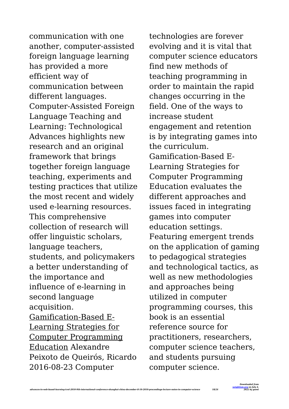communication with one another, computer-assisted foreign language learning has provided a more efficient way of communication between different languages. Computer-Assisted Foreign Language Teaching and Learning: Technological Advances highlights new research and an original framework that brings together foreign language teaching, experiments and testing practices that utilize the most recent and widely used e-learning resources. This comprehensive collection of research will offer linguistic scholars, language teachers, students, and policymakers a better understanding of the importance and influence of e-learning in second language acquisition. Gamification-Based E-Learning Strategies for Computer Programming Education Alexandre Peixoto de Queirós, Ricardo 2016-08-23 Computer

technologies are forever evolving and it is vital that computer science educators find new methods of teaching programming in order to maintain the rapid changes occurring in the field. One of the ways to increase student engagement and retention is by integrating games into the curriculum. Gamification-Based E-Learning Strategies for Computer Programming Education evaluates the different approaches and issues faced in integrating games into computer education settings. Featuring emergent trends on the application of gaming to pedagogical strategies and technological tactics, as well as new methodologies and approaches being utilized in computer programming courses, this book is an essential reference source for practitioners, researchers, computer science teachers, and students pursuing computer science.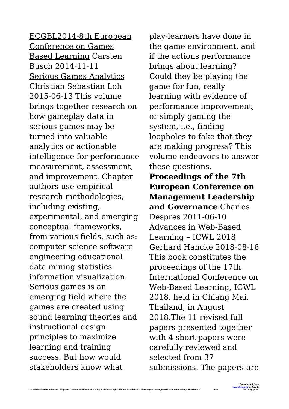ECGBL2014-8th European Conference on Games Based Learning Carsten Busch 2014-11-11 Serious Games Analytics Christian Sebastian Loh 2015-06-13 This volume brings together research on how gameplay data in serious games may be turned into valuable analytics or actionable intelligence for performance measurement, assessment, and improvement. Chapter authors use empirical research methodologies, including existing, experimental, and emerging conceptual frameworks, from various fields, such as: computer science software engineering educational data mining statistics information visualization. Serious games is an emerging field where the games are created using sound learning theories and instructional design principles to maximize learning and training success. But how would stakeholders know what

play-learners have done in the game environment, and if the actions performance brings about learning? Could they be playing the game for fun, really learning with evidence of performance improvement, or simply gaming the system, i.e., finding loopholes to fake that they are making progress? This volume endeavors to answer these questions. **Proceedings of the 7th European Conference on Management Leadership and Governance** Charles Despres 2011-06-10 Advances in Web-Based Learning – ICWL 2018 Gerhard Hancke 2018-08-16 This book constitutes the proceedings of the 17th International Conference on Web-Based Learning, ICWL 2018, held in Chiang Mai, Thailand, in August 2018.The 11 revised full papers presented together with 4 short papers were carefully reviewed and selected from 37 submissions. The papers are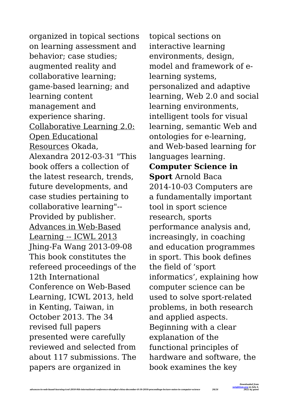organized in topical sections on learning assessment and behavior; case studies; augmented reality and collaborative learning; game-based learning; and learning content management and experience sharing. Collaborative Learning 2.0: Open Educational Resources Okada, Alexandra 2012-03-31 "This book offers a collection of the latest research, trends, future developments, and case studies pertaining to collaborative learning"-- Provided by publisher. Advances in Web-Based Learning -- ICWL 2013 Jhing-Fa Wang 2013-09-08 This book constitutes the refereed proceedings of the 12th International Conference on Web-Based Learning, ICWL 2013, held in Kenting, Taiwan, in October 2013. The 34 revised full papers presented were carefully reviewed and selected from about 117 submissions. The papers are organized in

topical sections on interactive learning environments, design, model and framework of elearning systems, personalized and adaptive learning, Web 2.0 and social learning environments, intelligent tools for visual learning, semantic Web and ontologies for e-learning, and Web-based learning for languages learning. **Computer Science in Sport** Arnold Baca 2014-10-03 Computers are a fundamentally important tool in sport science research, sports performance analysis and, increasingly, in coaching and education programmes in sport. This book defines the field of 'sport informatics', explaining how computer science can be used to solve sport-related problems, in both research and applied aspects. Beginning with a clear explanation of the functional principles of hardware and software, the book examines the key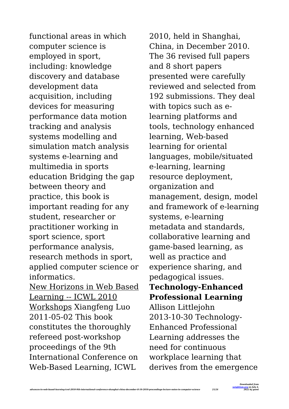functional areas in which computer science is employed in sport, including: knowledge discovery and database development data acquisition, including devices for measuring performance data motion tracking and analysis systems modelling and simulation match analysis systems e-learning and multimedia in sports education Bridging the gap between theory and practice, this book is important reading for any student, researcher or practitioner working in sport science, sport performance analysis, research methods in sport, applied computer science or informatics. New Horizons in Web Based Learning -- ICWL 2010 Workshops Xiangfeng Luo 2011-05-02 This book

constitutes the thoroughly refereed post-workshop proceedings of the 9th

International Conference on Web-Based Learning, ICWL

2010, held in Shanghai, China, in December 2010. The 36 revised full papers and 8 short papers presented were carefully reviewed and selected from 192 submissions. They deal with topics such as elearning platforms and tools, technology enhanced learning, Web-based learning for oriental languages, mobile/situated e-learning, learning resource deployment, organization and management, design, model and framework of e-learning systems, e-learning metadata and standards, collaborative learning and game-based learning, as well as practice and experience sharing, and pedagogical issues. **Technology-Enhanced Professional Learning** Allison Littlejohn 2013-10-30 Technology-Enhanced Professional Learning addresses the need for continuous workplace learning that derives from the emergence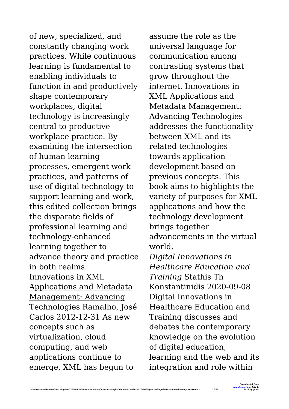of new, specialized, and constantly changing work practices. While continuous learning is fundamental to enabling individuals to function in and productively shape contemporary workplaces, digital technology is increasingly central to productive workplace practice. By examining the intersection of human learning processes, emergent work practices, and patterns of use of digital technology to support learning and work, this edited collection brings the disparate fields of professional learning and technology-enhanced learning together to advance theory and practice in both realms. Innovations in XML Applications and Metadata Management: Advancing Technologies Ramalho, José Carlos 2012-12-31 As new concepts such as virtualization, cloud computing, and web applications continue to emerge, XML has begun to

assume the role as the universal language for communication among contrasting systems that grow throughout the internet. Innovations in XML Applications and Metadata Management: Advancing Technologies addresses the functionality between XML and its related technologies towards application development based on previous concepts. This book aims to highlights the variety of purposes for XML applications and how the technology development brings together advancements in the virtual world. *Digital Innovations in Healthcare Education and Training* Stathis Th Konstantinidis 2020-09-08 Digital Innovations in Healthcare Education and Training discusses and debates the contemporary knowledge on the evolution of digital education, learning and the web and its integration and role within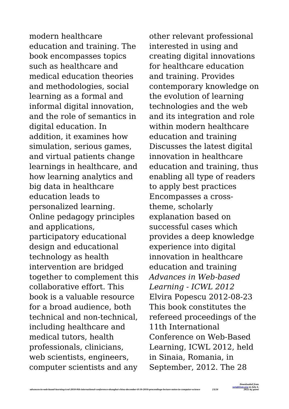modern healthcare education and training. The book encompasses topics such as healthcare and medical education theories and methodologies, social learning as a formal and informal digital innovation, and the role of semantics in digital education. In addition, it examines how simulation, serious games. and virtual patients change learnings in healthcare, and how learning analytics and big data in healthcare education leads to personalized learning. Online pedagogy principles and applications, participatory educational design and educational technology as health intervention are bridged together to complement this collaborative effort. This book is a valuable resource for a broad audience, both technical and non-technical, including healthcare and medical tutors, health professionals, clinicians, web scientists, engineers, computer scientists and any

other relevant professional interested in using and creating digital innovations for healthcare education and training. Provides contemporary knowledge on the evolution of learning technologies and the web and its integration and role within modern healthcare education and training Discusses the latest digital innovation in healthcare education and training, thus enabling all type of readers to apply best practices Encompasses a crosstheme, scholarly explanation based on successful cases which provides a deep knowledge experience into digital innovation in healthcare education and training *Advances in Web-based Learning - ICWL 2012* Elvira Popescu 2012-08-23 This book constitutes the refereed proceedings of the 11th International Conference on Web-Based Learning, ICWL 2012, held in Sinaia, Romania, in September, 2012. The 28